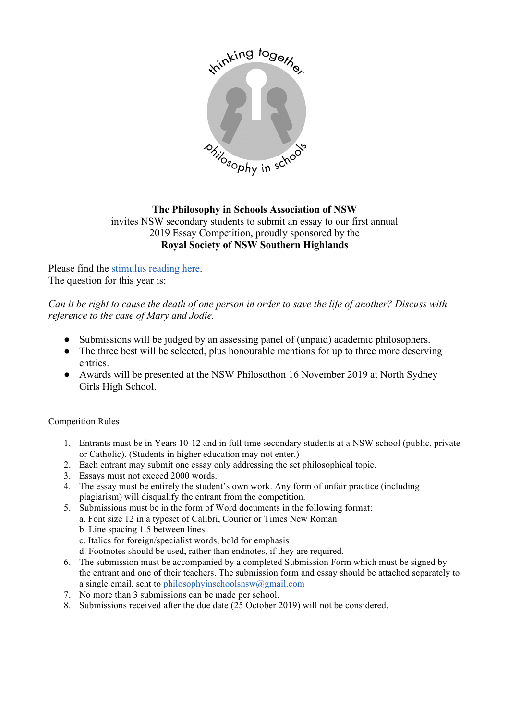

## **The Philosophy in Schools Association of NSW**  invites NSW secondary students to submit an essay to our first annual 2019 Essay Competition, proudly sponsored by the **Royal Society of NSW Southern Highlands**

Please find the stimulus reading here. The question for this year is:

*Can it be right to cause the death of one person in order to save the life of another? Discuss with reference to the case of Mary and Jodie.*

- Submissions will be judged by an assessing panel of (unpaid) academic philosophers.
- The three best will be selected, plus honourable mentions for up to three more deserving entries.
- Awards will be presented at the NSW Philosothon 16 November 2019 at North Sydney Girls High School.

## Competition Rules

- 1. Entrants must be in Years 10-12 and in full time secondary students at a NSW school (public, private or Catholic). (Students in higher education may not enter.)
- 2. Each entrant may submit one essay only addressing the set philosophical topic.
- 3. Essays must not exceed 2000 words.
- 4. The essay must be entirely the student's own work. Any form of unfair practice (including plagiarism) will disqualify the entrant from the competition.
- 5. Submissions must be in the form of Word documents in the following format:
	- a. Font size 12 in a typeset of Calibri, Courier or Times New Roman
		- b. Line spacing 1.5 between lines
		- c. Italics for foreign/specialist words, bold for emphasis
	- d. Footnotes should be used, rather than endnotes, if they are required.
- 6. The submission must be accompanied by a completed Submission Form which must be signed by the entrant and one of their teachers. The submission form and essay should be attached separately to a single email, sent to philosophyinschoolsnsw $@g$ gmail.com
- 7. No more than 3 submissions can be made per school.
- 8. Submissions received after the due date (25 October 2019) will not be considered.